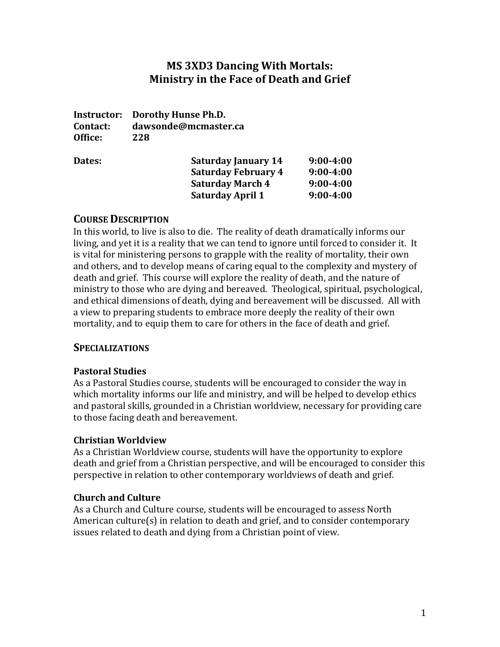# **MS 3XD3 Dancing With Mortals: Ministry in the Face of Death and Grief**

**Instructor: Dorothy Hunse Ph.D. Contact: dawsonde@mcmaster.ca Office: 228**

| Dates: | <b>Saturday January 14</b> | $9:00 - 4:00$ |
|--------|----------------------------|---------------|
|        | <b>Saturday February 4</b> | $9:00 - 4:00$ |
|        | <b>Saturday March 4</b>    | $9:00 - 4:00$ |
|        | <b>Saturday April 1</b>    | $9:00 - 4:00$ |

#### **COURSE DESCRIPTION**

In this world, to live is also to die. The reality of death dramatically informs our living, and yet it is a reality that we can tend to ignore until forced to consider it. It is vital for ministering persons to grapple with the reality of mortality, their own and others, and to develop means of caring equal to the complexity and mystery of death and grief. This course will explore the reality of death, and the nature of ministry to those who are dying and bereaved. Theological, spiritual, psychological, and ethical dimensions of death, dying and bereavement will be discussed. All with a view to preparing students to embrace more deeply the reality of their own mortality, and to equip them to care for others in the face of death and grief.

## **SPECIALIZATIONS**

#### **Pastoral Studies**

As a Pastoral Studies course, students will be encouraged to consider the way in which mortality informs our life and ministry, and will be helped to develop ethics and pastoral skills, grounded in a Christian worldview, necessary for providing care to those facing death and bereavement.

#### **Christian Worldview**

As a Christian Worldview course, students will have the opportunity to explore death and grief from a Christian perspective, and will be encouraged to consider this perspective in relation to other contemporary worldviews of death and grief.

#### **Church and Culture**

As a Church and Culture course, students will be encouraged to assess North American culture(s) in relation to death and grief, and to consider contemporary issues related to death and dying from a Christian point of view.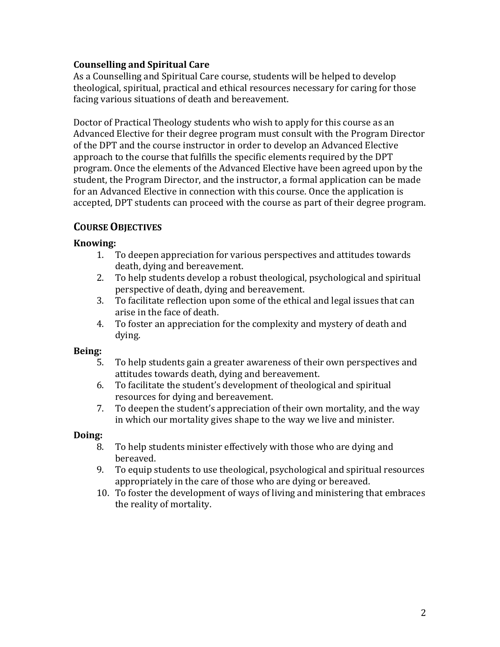## **Counselling and Spiritual Care**

As a Counselling and Spiritual Care course, students will be helped to develop theological, spiritual, practical and ethical resources necessary for caring for those facing various situations of death and bereavement.

Doctor of Practical Theology students who wish to apply for this course as an Advanced Elective for their degree program must consult with the Program Director of the DPT and the course instructor in order to develop an Advanced Elective approach to the course that fulfills the specific elements required by the DPT program. Once the elements of the Advanced Elective have been agreed upon by the student, the Program Director, and the instructor, a formal application can be made for an Advanced Elective in connection with this course. Once the application is accepted, DPT students can proceed with the course as part of their degree program.

# **COURSE OBJECTIVES**

#### **Knowing:**

- 1. To deepen appreciation for various perspectives and attitudes towards death, dying and bereavement.
- 2. To help students develop a robust theological, psychological and spiritual perspective of death, dying and bereavement.
- 3. To facilitate reflection upon some of the ethical and legal issues that can arise in the face of death.
- 4. To foster an appreciation for the complexity and mystery of death and dying.

#### **Being:**

- 5. To help students gain a greater awareness of their own perspectives and attitudes towards death, dying and bereavement.
- 6. To facilitate the student's development of theological and spiritual resources for dying and bereavement.
- 7. To deepen the student's appreciation of their own mortality, and the way in which our mortality gives shape to the way we live and minister.

## **Doing:**

- 8. To help students minister effectively with those who are dying and bereaved.
- 9. To equip students to use theological, psychological and spiritual resources appropriately in the care of those who are dying or bereaved.
- 10. To foster the development of ways of living and ministering that embraces the reality of mortality.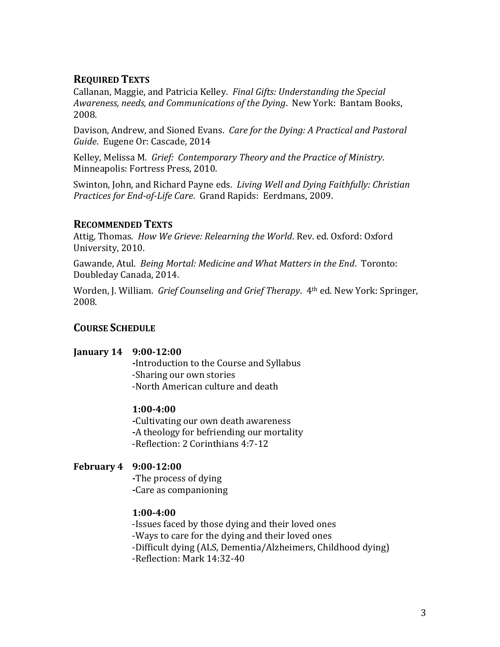# **REQUIRED TEXTS**

Callanan, Maggie, and Patricia Kelley. *Final Gifts: Understanding the Special Awareness, needs, and Communications of the Dying*. New York: Bantam Books, 2008.

Davison, Andrew, and Sioned Evans. *Care for the Dying: A Practical and Pastoral Guide*. Eugene Or: Cascade, 2014

Kelley, Melissa M. *Grief: Contemporary Theory and the Practice of Ministry*. Minneapolis: Fortress Press, 2010.

Swinton, John, and Richard Payne eds. *Living Well and Dying Faithfully: Christian Practices for End-of-Life Care*. Grand Rapids: Eerdmans, 2009.

## **RECOMMENDED TEXTS**

Attig, Thomas. *How We Grieve: Relearning the World*. Rev. ed. Oxford: Oxford University, 2010.

Gawande, Atul. *Being Mortal: Medicine and What Matters in the End*. Toronto: Doubleday Canada, 2014.

Worden, J. William. *Grief Counseling and Grief Therapy*. 4th ed. New York: Springer, 2008.

## **COURSE SCHEDULE**

#### **January 14 9:00-12:00**

**-**Introduction to the Course and Syllabus -Sharing our own stories -North American culture and death

## **1:00-4:00**

**-**Cultivating our own death awareness **-**A theology for befriending our mortality -Reflection: 2 Corinthians 4:7-12

## **February 4 9:00-12:00**

**-**The process of dying **-**Care as companioning

## **1:00-4:00**

-Issues faced by those dying and their loved ones -Ways to care for the dying and their loved ones -Difficult dying (ALS, Dementia/Alzheimers, Childhood dying) -Reflection: Mark 14:32-40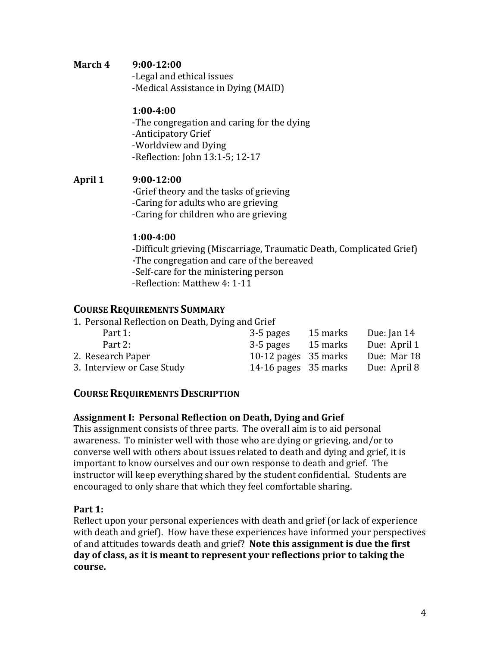#### **March 4 9:00-12:00**

-Legal and ethical issues -Medical Assistance in Dying (MAID)

#### **1:00-4:00**

-The congregation and caring for the dying -Anticipatory Grief -Worldview and Dying -Reflection: John 13:1-5; 12-17

#### **April 1 9:00-12:00**

**-**Grief theory and the tasks of grieving -Caring for adults who are grieving -Caring for children who are grieving

#### **1:00-4:00**

-Difficult grieving (Miscarriage, Traumatic Death, Complicated Grief) **-**The congregation and care of the bereaved -Self-care for the ministering person -Reflection: Matthew 4: 1-11

## **COURSE REQUIREMENTS SUMMARY**

1. Personal Reflection on Death, Dying and Grief

| Part 1:                    | 3-5 pages              | 15 marks | Due: Jan 14  |
|----------------------------|------------------------|----------|--------------|
| Part 2:                    | 3-5 pages              | 15 marks | Due: April 1 |
| 2. Research Paper          | 10-12 pages $35$ marks |          | Due: Mar 18  |
| 3. Interview or Case Study | 14-16 pages $35$ marks |          | Due: April 8 |

## **COURSE REQUIREMENTS DESCRIPTION**

#### **Assignment I: Personal Reflection on Death, Dying and Grief**

This assignment consists of three parts. The overall aim is to aid personal awareness. To minister well with those who are dying or grieving, and/or to converse well with others about issues related to death and dying and grief, it is important to know ourselves and our own response to death and grief. The instructor will keep everything shared by the student confidential. Students are encouraged to only share that which they feel comfortable sharing.

#### **Part 1:**

Reflect upon your personal experiences with death and grief (or lack of experience with death and grief). How have these experiences have informed your perspectives of and attitudes towards death and grief? **Note this assignment is due the first day of class, as it is meant to represent your reflections prior to taking the course.**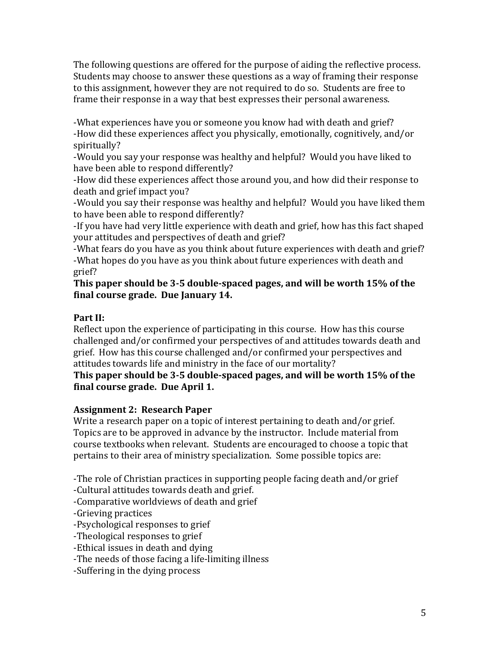The following questions are offered for the purpose of aiding the reflective process. Students may choose to answer these questions as a way of framing their response to this assignment, however they are not required to do so. Students are free to frame their response in a way that best expresses their personal awareness.

-What experiences have you or someone you know had with death and grief? -How did these experiences affect you physically, emotionally, cognitively, and/or spiritually?

-Would you say your response was healthy and helpful? Would you have liked to have been able to respond differently?

-How did these experiences affect those around you, and how did their response to death and grief impact you?

-Would you say their response was healthy and helpful? Would you have liked them to have been able to respond differently?

-If you have had very little experience with death and grief, how has this fact shaped your attitudes and perspectives of death and grief?

-What fears do you have as you think about future experiences with death and grief? -What hopes do you have as you think about future experiences with death and grief?

**This paper should be 3-5 double-spaced pages, and will be worth 15% of the final course grade. Due January 14.** 

# **Part II:**

Reflect upon the experience of participating in this course. How has this course challenged and/or confirmed your perspectives of and attitudes towards death and grief. How has this course challenged and/or confirmed your perspectives and attitudes towards life and ministry in the face of our mortality?

## **This paper should be 3-5 double-spaced pages, and will be worth 15% of the final course grade. Due April 1.**

# **Assignment 2: Research Paper**

Write a research paper on a topic of interest pertaining to death and/or grief. Topics are to be approved in advance by the instructor. Include material from course textbooks when relevant. Students are encouraged to choose a topic that pertains to their area of ministry specialization. Some possible topics are:

-The role of Christian practices in supporting people facing death and/or grief

-Cultural attitudes towards death and grief.

-Comparative worldviews of death and grief

-Grieving practices

-Psychological responses to grief

-Theological responses to grief

-Ethical issues in death and dying

-The needs of those facing a life-limiting illness

-Suffering in the dying process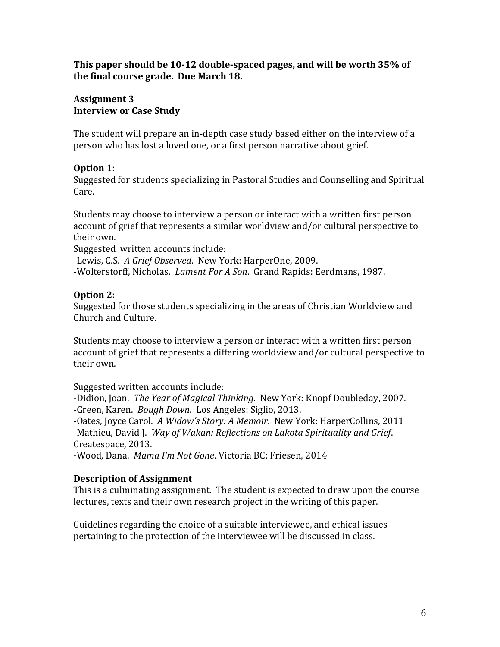#### **This paper should be 10-12 double-spaced pages, and will be worth 35% of the final course grade. Due March 18.**

#### **Assignment 3 Interview or Case Study**

The student will prepare an in-depth case study based either on the interview of a person who has lost a loved one, or a first person narrative about grief.

## **Option 1:**

Suggested for students specializing in Pastoral Studies and Counselling and Spiritual Care.

Students may choose to interview a person or interact with a written first person account of grief that represents a similar worldview and/or cultural perspective to their own.

Suggested written accounts include:

-Lewis, C.S. *A Grief Observed*. New York: HarperOne, 2009.

-Wolterstorff, Nicholas. *Lament For A Son*. Grand Rapids: Eerdmans, 1987.

# **Option 2:**

Suggested for those students specializing in the areas of Christian Worldview and Church and Culture.

Students may choose to interview a person or interact with a written first person account of grief that represents a differing worldview and/or cultural perspective to their own.

Suggested written accounts include:

-Didion, Joan. *The Year of Magical Thinking*. New York: Knopf Doubleday, 2007. -Green, Karen. *Bough Down*. Los Angeles: Siglio, 2013.

-Oates, Joyce Carol. *A Widow's Story: A Memoir*. New York: HarperCollins, 2011 -Mathieu, David J. *Way of Wakan: Reflections on Lakota Spirituality and Grief*. Createspace, 2013.

-Wood, Dana. *Mama I'm Not Gone*. Victoria BC: Friesen, 2014

# **Description of Assignment**

This is a culminating assignment. The student is expected to draw upon the course lectures, texts and their own research project in the writing of this paper.

Guidelines regarding the choice of a suitable interviewee, and ethical issues pertaining to the protection of the interviewee will be discussed in class.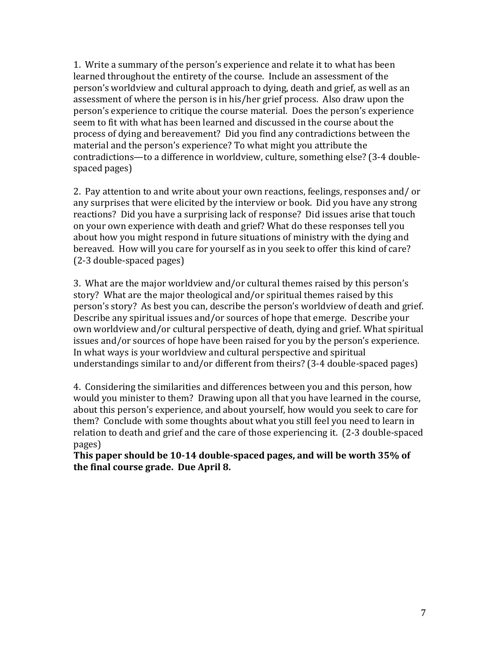1. Write a summary of the person's experience and relate it to what has been learned throughout the entirety of the course. Include an assessment of the person's worldview and cultural approach to dying, death and grief, as well as an assessment of where the person is in his/her grief process. Also draw upon the person's experience to critique the course material. Does the person's experience seem to fit with what has been learned and discussed in the course about the process of dying and bereavement? Did you find any contradictions between the material and the person's experience? To what might you attribute the contradictions—to a difference in worldview, culture, something else? (3-4 doublespaced pages)

2. Pay attention to and write about your own reactions, feelings, responses and/ or any surprises that were elicited by the interview or book. Did you have any strong reactions? Did you have a surprising lack of response? Did issues arise that touch on your own experience with death and grief? What do these responses tell you about how you might respond in future situations of ministry with the dying and bereaved. How will you care for yourself as in you seek to offer this kind of care? (2-3 double-spaced pages)

3. What are the major worldview and/or cultural themes raised by this person's story? What are the major theological and/or spiritual themes raised by this person's story? As best you can, describe the person's worldview of death and grief. Describe any spiritual issues and/or sources of hope that emerge. Describe your own worldview and/or cultural perspective of death, dying and grief. What spiritual issues and/or sources of hope have been raised for you by the person's experience. In what ways is your worldview and cultural perspective and spiritual understandings similar to and/or different from theirs? (3-4 double-spaced pages)

4. Considering the similarities and differences between you and this person, how would you minister to them? Drawing upon all that you have learned in the course, about this person's experience, and about yourself, how would you seek to care for them? Conclude with some thoughts about what you still feel you need to learn in relation to death and grief and the care of those experiencing it. (2-3 double-spaced pages)

**This paper should be 10-14 double-spaced pages, and will be worth 35% of the final course grade. Due April 8.**